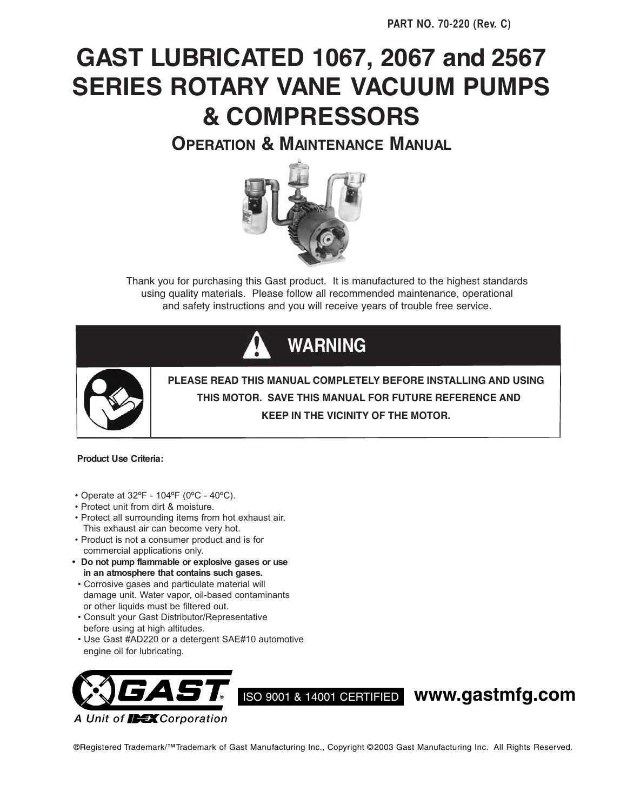# **GAST LUBRICATED 1067, 2067 and 2567 SERIES ROTARY VANE VACUUM PUMPS & COMPRESSORS**

**OPERATION & MAINTENANCE MANUAL**



Thank you for purchasing this Gast product. It is manufactured to the highest standards using quality materials. Please follow all recommended maintenance, operational and safety instructions and you will receive years of trouble free service.





**PLEASE READ THIS MANUAL COMPLETELY BEFORE INSTALLING AND USING THIS MOTOR. SAVE THIS MANUAL FOR FUTURE REFERENCE AND KEEP IN THE VICINITY OF THE MOTOR.**

#### **Product Use Criteria:**

- Operate at 32ºF 104ºF (0ºC 40ºC).
- Protect unit from dirt & moisture.
- Protect all surrounding items from hot exhaust air. This exhaust air can become very hot.
- Product is not a consumer product and is for commercial applications only.
- **Do not pump flammable or explosive gases or use in an atmosphere that contains such gases.**
- Corrosive gases and particulate material will damage unit. Water vapor, oil-based contaminants or other liquids must be filtered out.
- Consult your Gast Distributor/Representative before using at high altitudes.
- Use Gast #AD220 or a detergent SAE#10 automotive engine oil for lubricating.



ISO 9001 & 14001 CERTIFIED **www.gastmfg.com**

®Registered Trademark/™Trademark of Gast Manufacturing Inc., Copyright © 2003 Gast Manufacturing Inc. All Rights Reserved.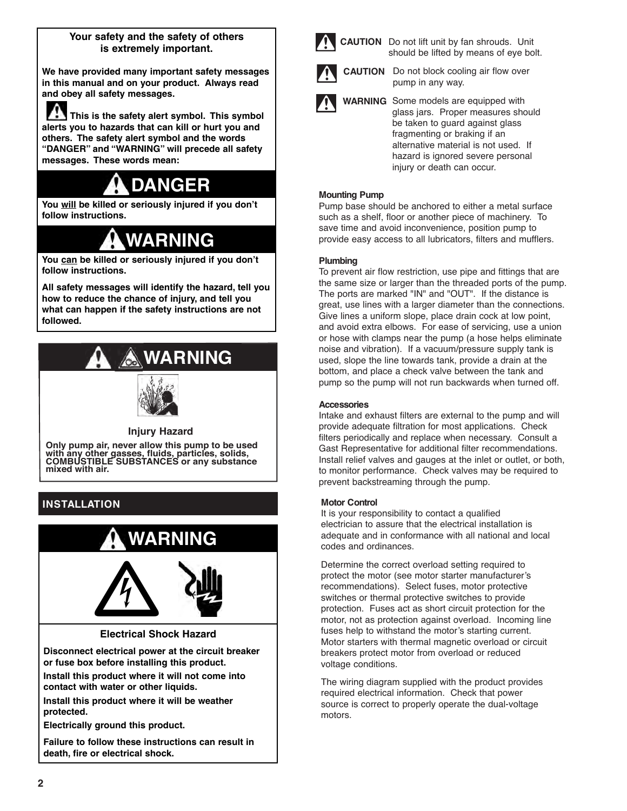# **Your safety and the safety of others is extremely important.**

**We have provided many important safety messages in this manual and on your product. Always read and obey all safety messages.**

**This is the safety alert symbol. This symbol alerts you to hazards that can kill or hurt you and others. The safety alert symbol and the words "DANGER" and "WARNING" will precede all safety messages. These words mean:**

# **DANGER**

**You will be killed or seriously injured if you don't follow instructions.**

# **WARNING**

**You can be killed or seriously injured if you don't follow instructions.**

**All safety messages will identify the hazard, tell you how to reduce the chance of injury, and tell you what can happen if the safety instructions are not followed.**

# **WARNING**



# **Injury Hazard**

**Only pump air, never allow this pump to be used with any other gasses, fluids, particles, solids, COMBUSTIBLE SUBSTANCES or any substance mixed with air.**

# **INSTALLATION**



**Failure to follow these instructions can result in death, fire or electrical shock.**



**CAUTION** Do not lift unit by fan shrouds. Unit should be lifted by means of eye bolt.



**CAUTION** Do not block cooling air flow over pump in any way.

**WARNING** Some models are equipped with glass jars. Proper measures should be taken to guard against glass fragmenting or braking if an alternative material is not used. If hazard is ignored severe personal injury or death can occur.

### **Mounting Pump**

Pump base should be anchored to either a metal surface such as a shelf, floor or another piece of machinery. To save time and avoid inconvenience, position pump to provide easy access to all lubricators, filters and mufflers.

### **Plumbing**

To prevent air flow restriction, use pipe and fittings that are the same size or larger than the threaded ports of the pump. The ports are marked "IN" and "OUT". If the distance is great, use lines with a larger diameter than the connections. Give lines a uniform slope, place drain cock at low point, and avoid extra elbows. For ease of servicing, use a union or hose with clamps near the pump (a hose helps eliminate noise and vibration). If a vacuum/pressure supply tank is used, slope the line towards tank, provide a drain at the bottom, and place a check valve between the tank and pump so the pump will not run backwards when turned off.

## **Accessories**

Intake and exhaust filters are external to the pump and will provide adequate filtration for most applications. Check filters periodically and replace when necessary. Consult a Gast Representative for additional filter recommendations. Install relief valves and gauges at the inlet or outlet, or both, to monitor performance. Check valves may be required to prevent backstreaming through the pump.

# **Motor Control**

It is your responsibility to contact a qualified electrician to assure that the electrical installation is adequate and in conformance with all national and local codes and ordinances.

Determine the correct overload setting required to protect the motor (see motor starter manufacturer's recommendations). Select fuses, motor protective switches or thermal protective switches to provide protection. Fuses act as short circuit protection for the motor, not as protection against overload. Incoming line fuses help to withstand the motor's starting current. Motor starters with thermal magnetic overload or circuit breakers protect motor from overload or reduced voltage conditions.

The wiring diagram supplied with the product provides required electrical information. Check that power source is correct to properly operate the dual-voltage motors.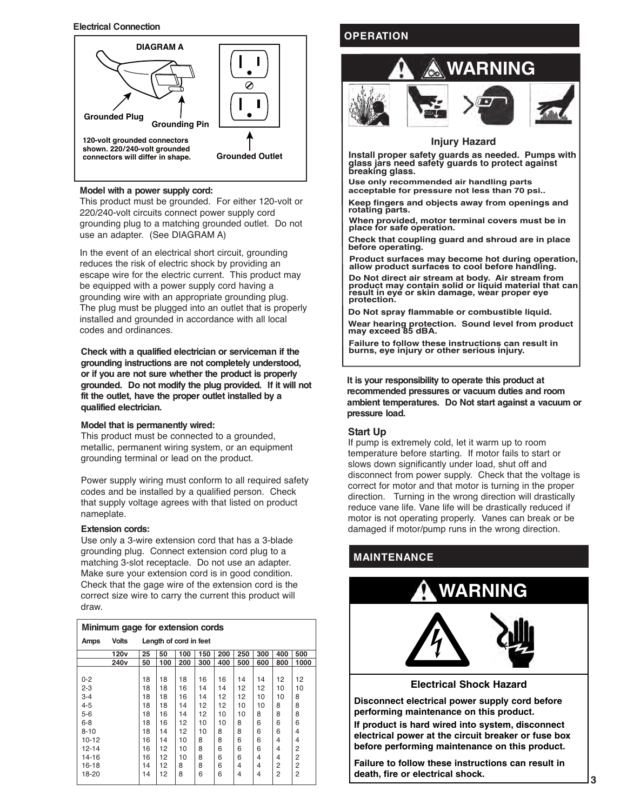#### **Electrical Connection**



#### **Model with a power supply cord:**

This product must be grounded. For either 120-volt or 220/240-volt circuits connect power supply cord grounding plug to a matching grounded outlet. Do not use an adapter. (See DIAGRAM A)

In the event of an electrical short circuit, grounding reduces the risk of electric shock by providing an escape wire for the electric current. This product may be equipped with a power supply cord having a grounding wire with an appropriate grounding plug. The plug must be plugged into an outlet that is properly installed and grounded in accordance with all local codes and ordinances.

**Check with a qualified electrician or serviceman if the grounding instructions are not completely understood, or if you are not sure whether the product is properly grounded. Do not modify the plug provided. If it will not fit the outlet, have the proper outlet installed by a qualified electrician.**

#### **Model that is permanently wired:**

This product must be connected to a grounded, metallic, permanent wiring system, or an equipment grounding terminal or lead on the product.

Power supply wiring must conform to all required safety codes and be installed by a qualified person. Check that supply voltage agrees with that listed on product nameplate.

#### **Extension cords:**

Use only a 3-wire extension cord that has a 3-blade grounding plug. Connect extension cord plug to a matching 3-slot receptacle. Do not use an adapter. Make sure your extension cord is in good condition. Check that the gage wire of the extension cord is the correct size wire to carry the current this product will draw.

| Minimum gage for extension cords |                  |                        |     |     |     |     |     |     |                |                |
|----------------------------------|------------------|------------------------|-----|-----|-----|-----|-----|-----|----------------|----------------|
| Amps                             | <b>Volts</b>     | Length of cord in feet |     |     |     |     |     |     |                |                |
|                                  | 120v             | 25                     | 50  | 100 | 150 | 200 | 250 | 300 | 400            | 500            |
|                                  | 240 <sub>v</sub> | 50                     | 100 | 200 | 300 | 400 | 500 | 600 | 800            | 1000           |
|                                  |                  |                        |     |     |     |     |     |     |                |                |
| $0 - 2$                          |                  | 18                     | 18  | 18  | 16  | 16  | 14  | 14  | 12             | 12             |
| $2 - 3$                          |                  | 18                     | 18  | 16  | 14  | 14  | 12  | 12  | 10             | 10             |
| $3 - 4$                          |                  | 18                     | 18  | 16  | 14  | 12  | 12  | 10  | 10             | 8              |
| $4 - 5$                          |                  | 18                     | 18  | 14  | 12  | 12  | 10  | 10  | 8              | 8              |
| $5-6$                            |                  | 18                     | 16  | 14  | 12  | 10  | 10  | 8   | 8              | 8              |
| $6 - 8$                          |                  | 18                     | 16  | 12  | 10  | 10  | 8   | 6   | 6              | 6              |
| $8 - 10$                         |                  | 18                     | 14  | 12  | 10  | 8   | 8   | 6   | 6              | 4              |
| $10 - 12$                        |                  | 16                     | 14  | 10  | 8   | 8   | 6   | 6   | 4              | 4              |
| 12-14                            |                  | 16                     | 12  | 10  | 8   | 6   | 6   | 6   | 4              | 2              |
| 14-16                            |                  | 16                     | 12  | 10  | 8   | 6   | 6   | 4   | 4              | 2              |
| 16-18                            |                  | 14                     | 12  | 8   | 8   | 6   | 4   | 4   | 2              | 2              |
| 18-20                            |                  | 14                     | 12  | 8   | 6   | 6   | 4   | 4   | $\overline{2}$ | $\overline{2}$ |
|                                  |                  |                        |     |     |     |     |     |     |                |                |

# **OPERATION**



#### **Injury Hazard**

**Install proper safety guards as needed. Pumps with glass jars need safety guards to protect against breaking glass.**

**Use only recommended air handling parts acceptable for pressure not less than 70 psi..**

**Keep fingers and objects away from openings and rotating parts.**

**When provided, motor terminal covers must be in place for safe operation.**

**Check that coupling guard and shroud are in place before operating.**

**Product surfaces may become hot during operation, allow product surfaces to cool before handling.**

**Do Not direct air stream at body. Air stream from product may contain solid or liquid material that can result in eye or skin damage, wear proper eye protection.**

**Do Not spray flammable or combustible liquid.**

**Wear hearing protection. Sound level from product may exceed 85 dBA.**

**Failure to follow these instructions can result in burns, eye injury or other serious injury.**

**It is your responsibility to operate this product at recommended pressures or vacuum duties and room ambient temperatures. Do Not start against a vacuum or pressure load.**

#### **Start Up**

If pump is extremely cold, let it warm up to room temperature before starting. If motor fails to start or slows down significantly under load, shut off and disconnect from power supply. Check that the voltage is correct for motor and that motor is turning in the proper direction. Turning in the wrong direction will drastically reduce vane life. Vane life will be drastically reduced if motor is not operating properly. Vanes can break or be damaged if motor/pump runs in the wrong direction.

# **MAINTENANCE**



**Disconnect electrical power supply cord before performing maintenance on this product.**

**If product is hard wired into system, disconnect electrical power at the circuit breaker or fuse box before performing maintenance on this product.**

**Failure to follow these instructions can result in death, fire or electrical shock.**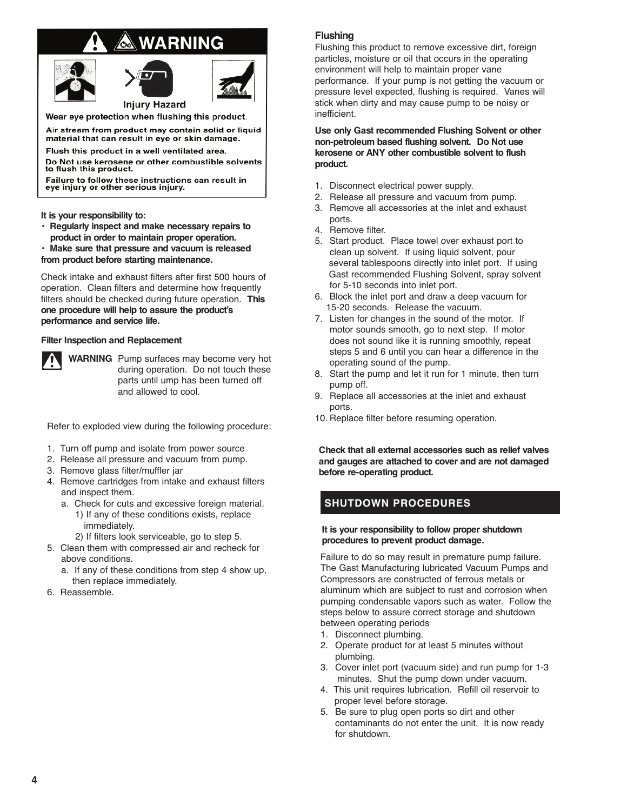# **WARNING**





Wear eye protection when flushing this product.

Air stream from product may contain solid or liquid

material that can result in eye or skin damage. Flush this product in a well ventilated area.

Do Not use kerosene or other combustible solvents to flush this product.

Failure to follow these instructions can result in<br>eye injury or other serious injury.

**It is your responsibility to:**

**• Regularly inspect and make necessary repairs to product in order to maintain proper operation.**

**• Make sure that pressure and vacuum is released from product before starting maintenance.**

Check intake and exhaust filters after first 500 hours of operation. Clean filters and determine how frequently filters should be checked during future operation. **This one procedure will help to assure the product's performance and service life.**

#### **Filter Inspection and Replacement**



**WARNING** Pump surfaces may become very hot during operation. Do not touch these parts until ump has been turned off and allowed to cool.

Refer to exploded view during the following procedure:

- 1. Turn off pump and isolate from power source
- 2. Release all pressure and vacuum from pump.
- 3. Remove glass filter/muffler jar
- 4. Remove cartridges from intake and exhaust filters and inspect them.
	- a. Check for cuts and excessive foreign material.
		- 1) If any of these conditions exists, replace immediately.
		- 2) If filters look serviceable, go to step 5.
- 5. Clean them with compressed air and recheck for above conditions.
	- a. If any of these conditions from step 4 show up, then replace immediately.
- 6. Reassemble.

### **Flushing**

Flushing this product to remove excessive dirt, foreign particles, moisture or oil that occurs in the operating environment will help to maintain proper vane performance. If your pump is not getting the vacuum or pressure level expected, flushing is required. Vanes will stick when dirty and may cause pump to be noisy or inefficient.

**Use only Gast recommended Flushing Solvent or other non-petroleum based flushing solvent. Do Not use kerosene or ANY other combustible solvent to flush product.**

- 1. Disconnect electrical power supply.
- 2. Release all pressure and vacuum from pump.
- 3. Remove all accessories at the inlet and exhaust ports.
- 4. Remove filter.
- 5. Start product. Place towel over exhaust port to clean up solvent. If using liquid solvent, pour several tablespoons directly into inlet port. If using Gast recommended Flushing Solvent, spray solvent for 5-10 seconds into inlet port.
- 6. Block the inlet port and draw a deep vacuum for 15-20 seconds. Release the vacuum.
- 7. Listen for changes in the sound of the motor. If motor sounds smooth, go to next step. If motor does not sound like it is running smoothly, repeat steps 5 and 6 until you can hear a difference in the operating sound of the pump.
- 8. Start the pump and let it run for 1 minute, then turn pump off.
- 9. Replace all accessories at the inlet and exhaust ports.
- 10. Replace filter before resuming operation.

**Check that all external accessories such as relief valves and gauges are attached to cover and are not damaged before re-operating product.**

# **SHUTDOWN PROCEDURES**

#### **It is your responsibility to follow proper shutdown procedures to prevent product damage.**

Failure to do so may result in premature pump failure. The Gast Manufacturing lubricated Vacuum Pumps and Compressors are constructed of ferrous metals or aluminum which are subject to rust and corrosion when pumping condensable vapors such as water. Follow the steps below to assure correct storage and shutdown between operating periods

- 1. Disconnect plumbing.
- 2. Operate product for at least 5 minutes without plumbing.
- 3. Cover inlet port (vacuum side) and run pump for 1-3 minutes. Shut the pump down under vacuum.
- 4. This unit requires lubrication. Refill oil reservoir to proper level before storage.
- 5. Be sure to plug open ports so dirt and other contaminants do not enter the unit. It is now ready for shutdown.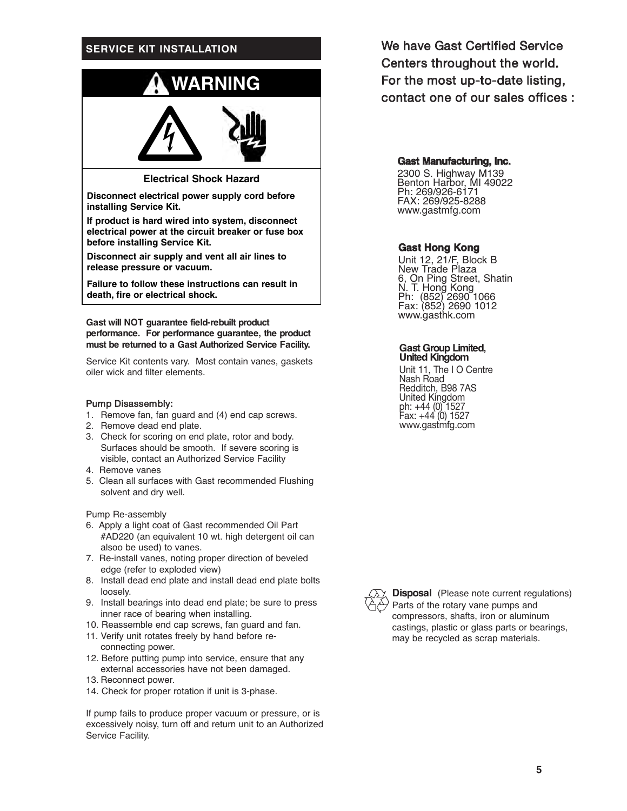# **SERVICE KIT INSTALLATION**



**Electrical Shock Hazard**

**Disconnect electrical power supply cord before installing Service Kit.**

**If product is hard wired into system, disconnect electrical power at the circuit breaker or fuse box before installing Service Kit.**

**Disconnect air supply and vent all air lines to release pressure or vacuum.**

**Failure to follow these instructions can result in death, fire or electrical shock.**

**Gast will NOT guarantee field-rebuilt product performance. For performance guarantee, the product must be returned to a Gast Authorized Service Facility.**

Service Kit contents vary. Most contain vanes, gaskets oiler wick and filter elements.

#### Pump Disassembly:

- 1. Remove fan, fan guard and (4) end cap screws.
- 2. Remove dead end plate.
- 3. Check for scoring on end plate, rotor and body. Surfaces should be smooth. If severe scoring is visible, contact an Authorized Service Facility
- 4. Remove vanes
- 5. Clean all surfaces with Gast recommended Flushing solvent and dry well.

Pump Re-assembly

- 6. Apply a light coat of Gast recommended Oil Part #AD220 (an equivalent 10 wt. high detergent oil can alsoo be used) to vanes.
- 7. Re-install vanes, noting proper direction of beveled edge (refer to exploded view)
- 8. Install dead end plate and install dead end plate bolts loosely.
- 9. Install bearings into dead end plate; be sure to press inner race of bearing when installing.
- 10. Reassemble end cap screws, fan guard and fan.
- 11. Verify unit rotates freely by hand before reconnecting power.
- 12. Before putting pump into service, ensure that any external accessories have not been damaged.
- 13. Reconnect power.
- 14. Check for proper rotation if unit is 3-phase.

If pump fails to produce proper vacuum or pressure, or is excessively noisy, turn off and return unit to an Authorized Service Facility.

We have Gast Certified Service Centers throughout the world. For the most up-to-date listing, contact one of our sales offices :

#### **Gast Manufacturing, Inc.**

2300 S. Highway M139 Benton Harbor, MI 49022 Ph: 269/926-6171 FAX: 269/925-8288 www.gastmfg.com

#### **Gast Hong Kong**

Unit 12, 21/F, Block B New Trade Plaza 6, On Ping Street, Shatin N. T. Hong Kong Ph: (852) 2690 1066 Fax: (852) 2690 1012 www.gasthk.com

#### **Gast Group Limited, United Kingdom**

Unit 11, The I O Centre Nash Road Redditch, B98 7AS United Kingdom ph: +44 (0) 1527 Fax: +44 (0) 1527 www.gastmfg.com



**Disposal** (Please note current regulations) Parts of the rotary vane pumps and compressors, shafts, iron or aluminum castings, plastic or glass parts or bearings, may be recycled as scrap materials.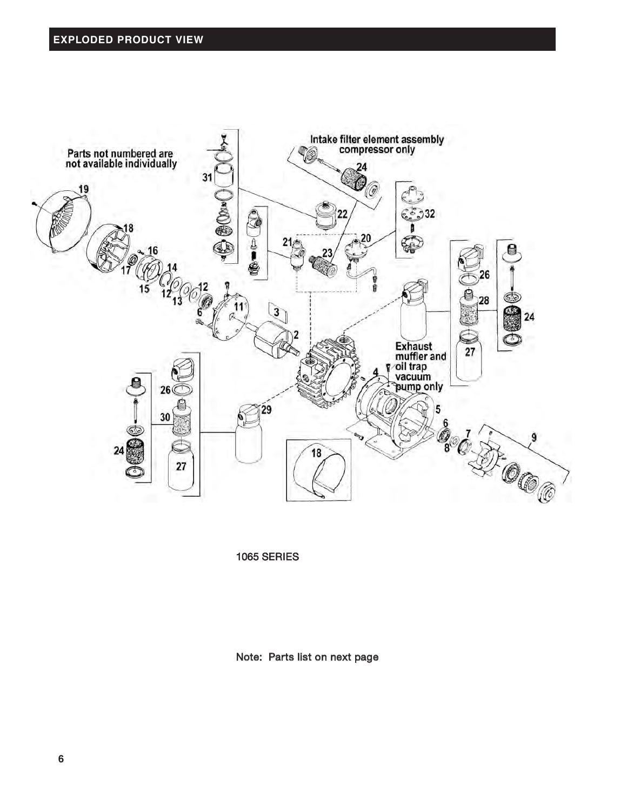

1065 SERIES

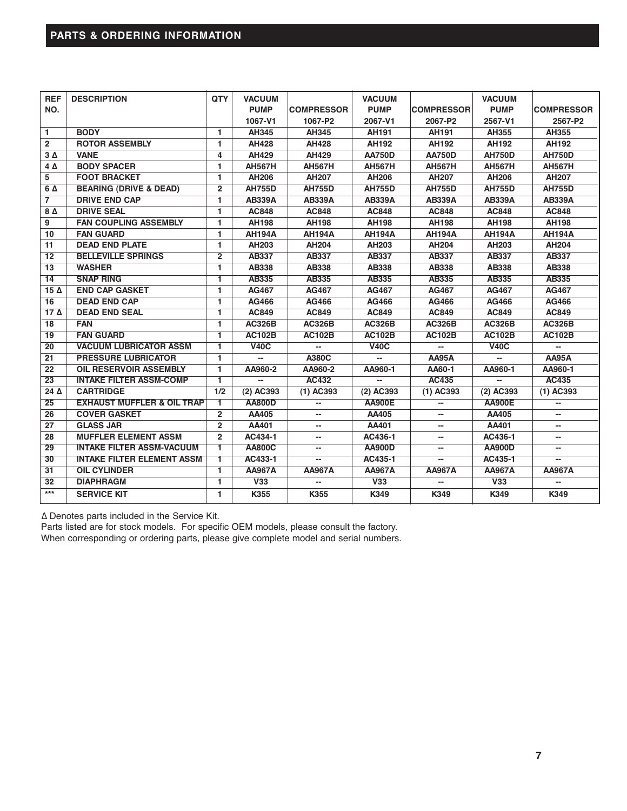| <b>REF</b>      | <b>DESCRIPTION</b>                    | QTY            | <b>VACUUM</b>           |                   | <b>VACUUM</b>  |                          | <b>VACUUM</b> |                   |
|-----------------|---------------------------------------|----------------|-------------------------|-------------------|----------------|--------------------------|---------------|-------------------|
| NO.             |                                       |                | <b>PUMP</b>             | <b>COMPRESSOR</b> | <b>PUMP</b>    | <b>COMPRESSOR</b>        | <b>PUMP</b>   | <b>COMPRESSOR</b> |
|                 |                                       |                | 1067-V1                 | 1067-P2           | 2067-V1        | 2067-P2                  | 2567-V1       | 2567-P2           |
| $\mathbf{1}$    | <b>BODY</b>                           |                | AH345                   | AH345             | AH191          | AH191                    | AH355         | AH355             |
| $\overline{2}$  | <b>ROTOR ASSEMBLY</b>                 |                | <b>AH428</b>            | <b>AH428</b>      | <b>AH192</b>   | <b>AH192</b>             | <b>AH192</b>  | <b>AH192</b>      |
| $3\Delta$       | <b>VANE</b>                           | 4              | AH429                   | <b>AH429</b>      | <b>AA750D</b>  | <b>AA750D</b>            | <b>AH750D</b> | <b>AH750D</b>     |
| $4\Delta$       | <b>BODY SPACER</b>                    | 1              | <b>AH567H</b>           | <b>AH567H</b>     | <b>AH567H</b>  | <b>AH567H</b>            | <b>AH567H</b> | <b>AH567H</b>     |
| 5               | <b>FOOT BRACKET</b>                   | 1.             | <b>AH206</b>            | <b>AH207</b>      | <b>AH206</b>   | <b>AH207</b>             | <b>AH206</b>  | <b>AH207</b>      |
| 6 A             | <b>BEARING (DRIVE &amp; DEAD)</b>     | $\overline{2}$ | <b>AH755D</b>           | <b>AH755D</b>     | <b>AH755D</b>  | <b>AH755D</b>            | <b>AH755D</b> | <b>AH755D</b>     |
| $\overline{7}$  | <b>DRIVE END CAP</b>                  | 1.             | <b>AB339A</b>           | <b>AB339A</b>     | <b>AB339A</b>  | <b>AB339A</b>            | <b>AB339A</b> | <b>AB339A</b>     |
| $8\,\Delta$     | <b>DRIVE SEAL</b>                     | 1              | <b>AC848</b>            | <b>AC848</b>      | <b>AC848</b>   | <b>AC848</b>             | <b>AC848</b>  | <b>AC848</b>      |
| 9               | <b>FAN COUPLING ASSEMBLY</b>          | 1.             | <b>AH198</b>            | <b>AH198</b>      | <b>AH198</b>   | <b>AH198</b>             | <b>AH198</b>  | <b>AH198</b>      |
| 10              | <b>FAN GUARD</b>                      | 1              | <b>AH194A</b>           | <b>AH194A</b>     | <b>AH194A</b>  | <b>AH194A</b>            | <b>AH194A</b> | <b>AH194A</b>     |
| 11              | <b>DEAD END PLATE</b>                 | 1              | AH203                   | <b>AH204</b>      | AH203          | <b>AH204</b>             | AH203         | <b>AH204</b>      |
| $\overline{12}$ | <b>BELLEVILLE SPRINGS</b>             | $\mathbf{2}$   | <b>AB337</b>            | <b>AB337</b>      | <b>AB337</b>   | <b>AB337</b>             | <b>AB337</b>  | <b>AB337</b>      |
| 13              | <b>WASHER</b>                         | 1.             | <b>AB338</b>            | <b>AB338</b>      | <b>AB338</b>   | AB338                    | <b>AB338</b>  | <b>AB338</b>      |
| 14              | <b>SNAP RING</b>                      | 1              | AB335                   | AB335             | AB335          | AB335                    | AB335         | AB335             |
| $15\Delta$      | <b>END CAP GASKET</b>                 | 1.             | <b>AG467</b>            | <b>AG467</b>      | <b>AG467</b>   | <b>AG467</b>             | <b>AG467</b>  | <b>AG467</b>      |
| 16              | <b>DEAD END CAP</b>                   | 1.             | <b>AG466</b>            | <b>AG466</b>      | <b>AG466</b>   | <b>AG466</b>             | <b>AG466</b>  | <b>AG466</b>      |
| $17\Delta$      | <b>DEAD END SEAL</b>                  | 1.             | <b>AC849</b>            | <b>AC849</b>      | <b>AC849</b>   | <b>AC849</b>             | <b>AC849</b>  | <b>AC849</b>      |
| $\overline{18}$ | <b>FAN</b>                            | 1.             | <b>AC326B</b>           | <b>AC326B</b>     | <b>AC326B</b>  | <b>AC326B</b>            | <b>AC326B</b> | <b>AC326B</b>     |
| 19              | <b>FAN GUARD</b>                      | $\mathbf{1}$   | <b>AC102B</b>           | <b>AC102B</b>     | <b>AC102B</b>  | <b>AC102B</b>            | <b>AC102B</b> | <b>AC102B</b>     |
| $\overline{20}$ | <b>VACUUM LUBRICATOR ASSM</b>         | $\mathbf{1}$   | V40C                    |                   | V40C           |                          | V40C          |                   |
| 21              | <b>PRESSURE LUBRICATOR</b>            | 1              | --                      | A380C             | $\overline{a}$ | <b>AA95A</b>             | --            | <b>AA95A</b>      |
| $\overline{22}$ | <b>OIL RESERVOIR ASSEMBLY</b>         | 1.             | AA960-2                 | AA960-2           | AA960-1        | AA60-1                   | AA960-1       | AA960-1           |
| $\overline{23}$ | <b>INTAKE FILTER ASSM-COMP</b>        | $\mathbf{1}$   | --                      | <b>AC432</b>      | --             | <b>AC435</b>             | --            | <b>AC435</b>      |
| 24 $\Delta$     | <b>CARTRIDGE</b>                      | 1/2            | (2) AC393               | (1) AC393         | (2) AC393      | $(1)$ AC393              | (2) AC393     | $(1)$ AC393       |
| $\overline{25}$ | <b>EXHAUST MUFFLER &amp; OIL TRAP</b> | 1              | <b>AA800D</b>           | --                | <b>AA900E</b>  |                          | <b>AA900E</b> |                   |
| 26              | <b>COVER GASKET</b>                   | $\mathbf{2}$   | AA405                   | --                | AA405          |                          | AA405         | --                |
| 27              | <b>GLASS JAR</b>                      | $\overline{2}$ | AA401                   | --                | AA401          | --                       | AA401         | --                |
| 28              | <b>MUFFLER ELEMENT ASSM</b>           | $\overline{2}$ | AC434-1                 | --                | AC436-1        | --                       | AC436-1       | --                |
| $\overline{29}$ | <b>INTAKE FILTER ASSM-VACUUM</b>      | $\overline{1}$ | <b>AA800C</b>           | --                | <b>AA900D</b>  | --                       | <b>AA900D</b> | --                |
| 30              | <b>INTAKE FILTER ELEMENT ASSM</b>     | 1.             | AC433-1                 | --                | AC435-1        | $\overline{\phantom{a}}$ | AC435-1       |                   |
| 31              | <b>OIL CYLINDER</b>                   | 1              | <b>AA967A</b>           | <b>AA967A</b>     | <b>AA967A</b>  | <b>AA967A</b>            | <b>AA967A</b> | <b>AA967A</b>     |
| 32              | <b>DIAPHRAGM</b>                      | 1.             | $\overline{\text{V}33}$ | --                | V33            | $\overline{\phantom{a}}$ | V33           | $-$               |
| $***$           | <b>SERVICE KIT</b>                    | 1.             | K355                    | K355              | K349           | K349                     | K349          | K349              |

∆ Denotes parts included in the Service Kit.

Parts listed are for stock models. For specific OEM models, please consult the factory. When corresponding or ordering parts, please give complete model and serial numbers.